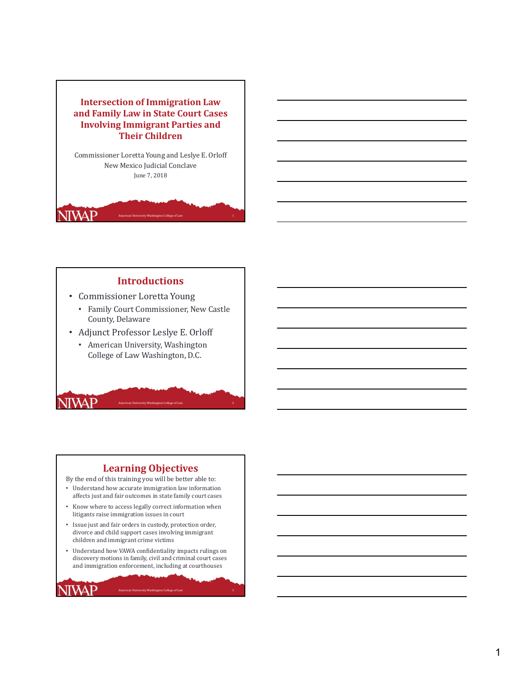

### **Introductions**

- Commissioner Loretta Young
	- Family Court Commissioner, New Castle County, Delaware
- Adjunct Professor Leslye E. Orloff
	- American University, Washington College of Law Washington, D.C.

## **Learning Objectives**

**American University Washington College of Law** 

**NIVAP** 

NIVAP

By the end of this training you will be better able to:

- Understand how accurate immigration law information affects just and fair outcomes in state family court cases
- Know where to access legally correct information when litigants raise immigration issues in court
- Issue just and fair orders in custody, protection order, divorce and child support cases involving immigrant children and immigrant crime victims
- Understand how VAWA confidentiality impacts rulings on discovery motions in family, civil and criminal court cases and immigration enforcement, including at courthouses

.<br>American College of Law 3.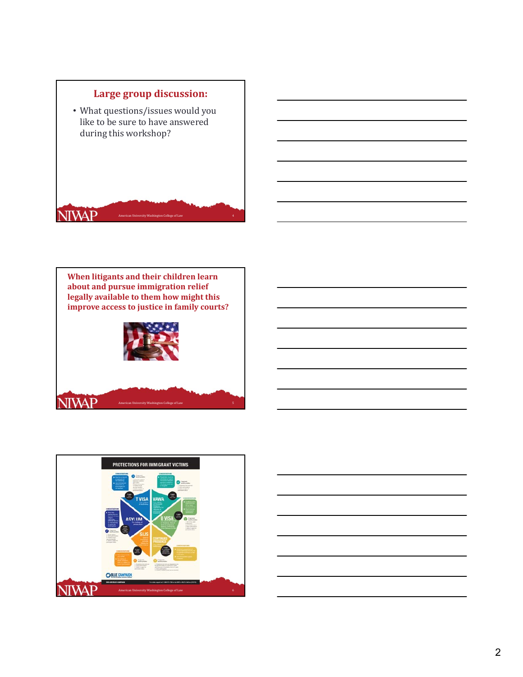





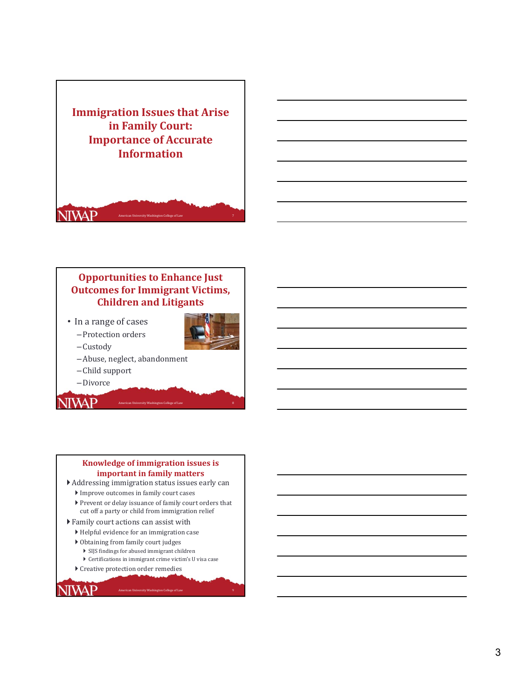

# **Opportunities to Enhance Just Outcomes for Immigrant Victims, Children and Litigants**

• In a range of cases – Protection orders



- Custody
- –Abuse, neglect, abandonment
- Child support
- –Divorce

**NIVAP** 

**NIVAP** 

### **Knowledge of immigration issues is important in family matters**

American University Washington College of Law

- $\blacktriangleright$  Addressing immigration status issues early can
	- $\blacktriangleright$  Improve outcomes in family court cases
	- Prevent or delay issuance of family court orders that cut off a party or child from immigration relief
- $\blacktriangleright$  Family court actions can assist with
	- $\blacktriangleright$  Helpful evidence for an immigration case
	- $\triangleright$  Obtaining from family court judges
		- $\blacktriangleright$  SIJS findings for abused immigrant children
		- $\blacktriangleright$  Certifications in immigrant crime victim's U visa case

.<br>Shington College of Lav

 $\blacktriangleright$  Creative protection order remedies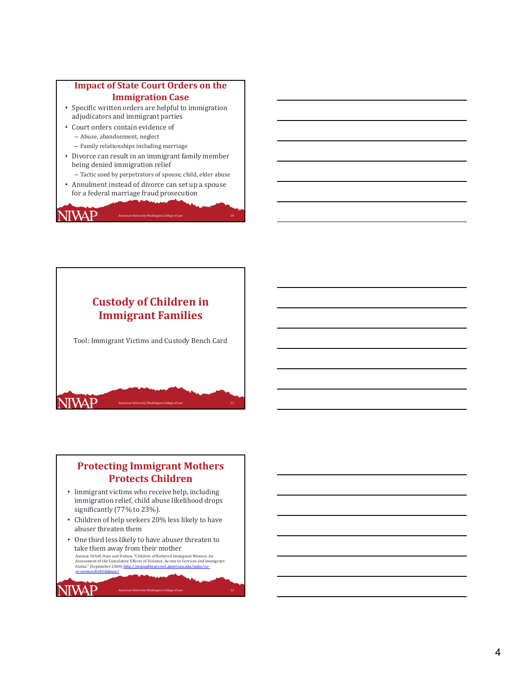### **Impact of State Court Orders on the Immigration Case**

- Specific written orders are helpful to immigration adjudicators and immigrant parties
- Court orders contain evidence of - Abuse, abandonment, neglect

JIWAP

- $-$  Family relationships including marriage
- Divorce can result in an immigrant family member being denied immigration relief
	- Tactic used by perpetrators of spouse, child, elder abuse

American University Washington College of Law 10

• Annulment instead of divorce can set up a spouse for a federal marriage fraud prosecution



# **Protecting Immigrant Mothers Protects Children**

- Immigrant victims who receive help, including immigration relief, child abuse likelihood drops significantly (77% to 23%).
- Children of help seekers 20% less likely to have abuser threaten them
- One third less likely to have abuser threaten to take them away from their mother

Ammar, Orloff, Hass and Dutton, "Children of Battered Immigrant Women: An<br>Assessment of the Cumulative Effects of Violence, Access to Services and Immigrant<br>Status." (September 2004) <u>http://niwaplibrary.wcl.american.edu/p</u>

JIWAP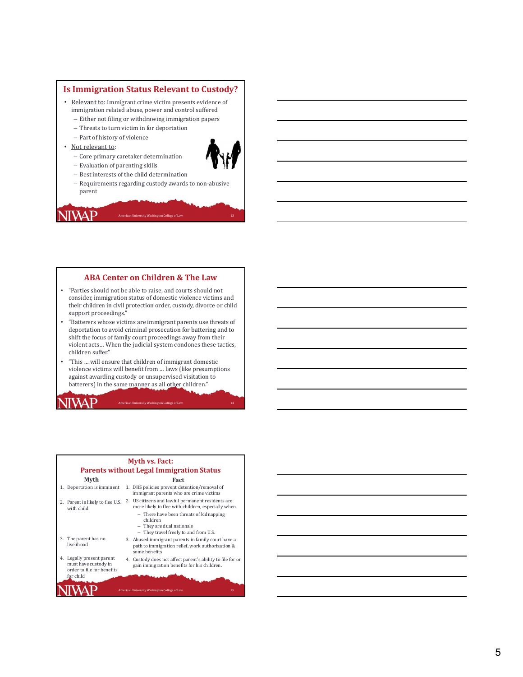### **Is Immigration Status Relevant to Custody?**

- Relevant to: Immigrant crime victim presents evidence of immigration related abuse, power and control suffered
	- Either not filing or withdrawing immigration papers
	- Threats to turn victim in for deportation
	- Part of history of violence

 $-$  Evaluation of parenting skills

- Not relevant to:
	- Core primary caretaker determination
- 
- $-$  Best interests of the child determination
- Requirements regarding custody awards to non-abusive parent

American University Washington College of Law 13 American University Washington College of Law

# ITVAP

### **ABA Center on Children & The Law**

- "Parties should not be able to raise, and courts should not consider, immigration status of domestic violence victims and their children in civil protection order, custody, divorce or child support proceedings."
- "Batterers whose victims are immigrant parents use threats of deportation to avoid criminal prosecution for battering and to shift the focus of family court proceedings away from their violent acts... When the judicial system condones these tactics, children suffer."
- "This ... will ensure that children of immigrant domestic violence victims will benefit from ... laws (like presumptions against awarding custody or unsupervised visitation to batterers) in the same manner as all other children."

.<br>Notwer Washington College of Law

# WAP

IWAP

### **Myth vs. Fact: Parents without Legal Immigration Status Myth** 1. Deportation is imminent 2. Parent is likely to flee U.S. 2. US citizens and lawful permanent residents are with child 3. The parent has no livelihood **Fact** 1. DHS policies prevent detention/removal of immigrant parents who are crime victims more likely to flee with children, especially when - There have been threats of kidnapping children - They are dual nationals - They travel freely to and from U.S. 3. Abused immigrant parents in family court have a path to immigration relief, work authorization  $\&$ some benefits

4. Legally present parent must have custody in order to file for benefits<br>for child 4. Custody does not affect parent's ability to file for or gain immigration benefits for his children.

American University Washington College of Law 15 (1996) 15 (1997) 15

14

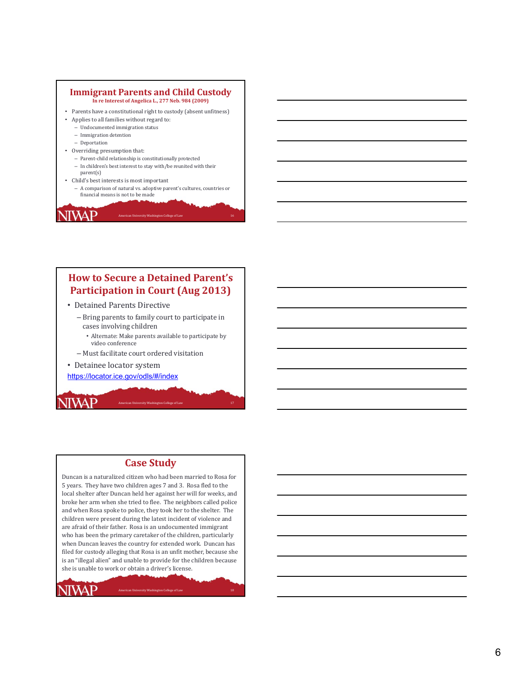### **Immigrant Parents and Child Custody In re Interest of Angelica L., 277 Neb. 984 (2009)**

- Parents have a constitutional right to custody (absent unfitness)
- Applies to all families without regard to:
	- Undocumented immigration status
	- Immigration detention

JIWAP

- Deportation
- Overriding presumption that:
	- Parent‐child relationship is constitutionally protected
	- In children's best interest to stay with/be reunited with their
- parent(s) • Child's best interests is most important
	- A comparison of natural vs. adoptive parent's cultures, countries or financial means is not to be made

American University Washington College of Law 16 (1999) 16 (1999) 16 (1999) 16 (1999) 16 (1999) 16 (1999) 16 (1

# **How to Secure a Detained Parent's Participation in Court (Aug 2013)**

- Detained Parents Directive
	- Bring parents to family court to participate in cases involving children
		- Alternate: Make parents available to participate by video conference
	- Must facilitate court ordered visitation
- Detainee locator system
- https://locator.ice.gov/odls/#/index

### **Case Study**

**American University Washington College of Law** 

Duncan is a naturalized citizen who had been married to Rosa for 5 years. They have two children ages 7 and 3. Rosa fled to the local shelter after Duncan held her against her will for weeks, and broke her arm when she tried to flee. The neighbors called police and when Rosa spoke to police, they took her to the shelter. The children were present during the latest incident of violence and are afraid of their father. Rosa is an undocumented immigrant who has been the primary caretaker of the children, particularly when Duncan leaves the country for extended work. Duncan has filed for custody alleging that Rosa is an unfit mother, because she is an "illegal alien" and unable to provide for the children because she is unable to work or obtain a driver's license.

.<br>American College of Law 1986

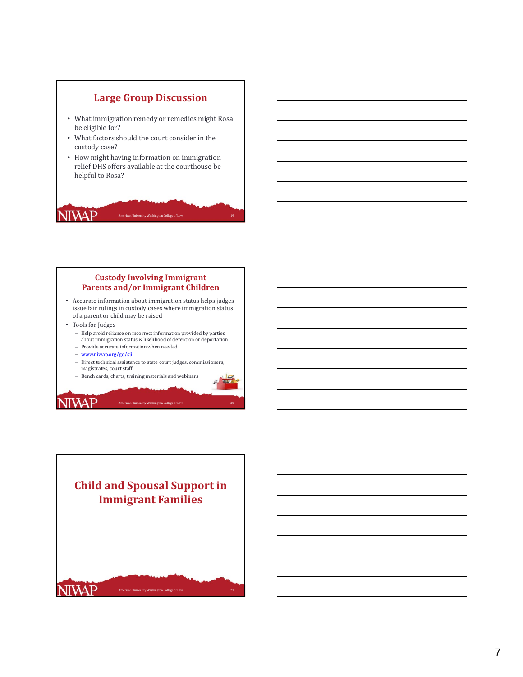

### **Custody Involving Immigrant Parents and/or Immigrant Children**

• Accurate information about immigration status helps judges issue fair rulings in custody cases where immigration status of a parent or child may be raised

• Tools for Judges

**NIVAP** 

- Help avoid reliance on incorrect information provided by parties<br>about immigration status & likelihood of detention or deportation
- $-$  Provide accurate information when needed
- www.niwap.org/go/sji
- $-$  Direct technical assistance to state court judges, commissioners, magistrates, court staff

.<br>American College of Law

- Bench cards, charts, training materials and webinars

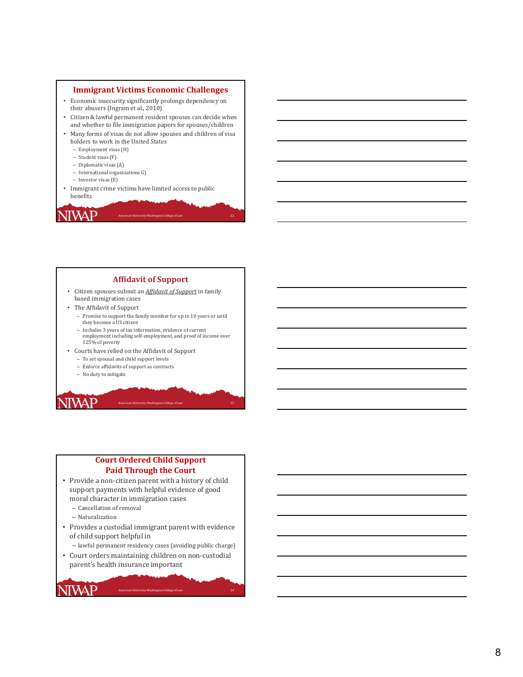### **Immigrant Victims Economic Challenges**

- Economic insecurity significantly prolongs dependency on their abusers (Ingram et al., 2010)
- Citizen & lawful permanent resident spouses can decide when and whether to file immigration papers for spouses/children
- Many forms of visas do not allow spouses and children of visa holders to work in the United States
	- $-$  Employment visas  $(H)$
	- Student visas (F)
	- Diplomatic visas (A)
	- International organizations G)
	- Investor visas (E)
- Immigrant crime victims have limited access to public benefits

IIVAP

### **Affidavit of Support**

American University Washington College of Law 22

- Citizen spouses submit an *Affidavit of Support* in family based immigration cases
- The Affidavit of Support
	- Promise to support the family member for up to 10 years or until they become a US citizen
	- Includes 3 years of tax information, evidence of current employment including self-employment, and proof of income over 125% of poverty

eton College of Lay

- Courts have relied on the Affidavit of Support – To set spousal and child support levels
	- $-$  Enforce affidavits of support as contracts
	- No duty to mitigate

**NIWAP** 

### **Court Ordered Child Support Paid Through the Court**

- Provide a non-citizen parent with a history of child support payments with helpful evidence of good moral character in immigration cases
	- Cancellation of removal
	- Naturalization

NIVAP

- Provides a custodial immigrant parent with evidence of child support helpful in
	- lawful permanent residency cases (avoiding public charge)

.<br>Sity Washington College of Lay

• Court orders maintaining children on non-custodial parent's health insurance important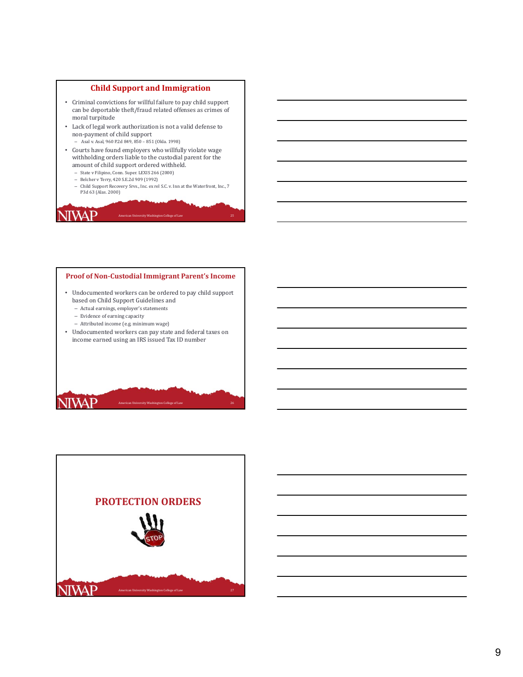### **Child Support and Immigration**

- Criminal convictions for willful failure to pay child support can be deportable theft/fraud related offenses as crimes of moral turpitude
- Lack of legal work authorization is not a valid defense to non-payment of child support
	- Asal v. Asal, 960 P.2d 849, 850 851 (Okla. 1998)
- Courts have found employers who willfully violate wage withholding orders liable to the custodial parent for the amount of child support ordered withheld.
	- State v Filipino, Conn. Super. LEXIS 266 (2000)
	- Belcher v Terry, 420 S.E.2d 909 (1992)
	- Child Support Recovery Srvs., Inc. ex rel S.C. v. Inn at the Waterfront, Inc., 7<br>P3d 63 (Alas. 2000)

American University Washington College of Law 25 (25) 25 (26) 25 (26) 25 (26) 25 (26) 25 (26) 25 (26) 25 (26) 25

# JIWAP

### **Proof of Non‐Custodial Immigrant Parent's Income**

- Undocumented workers can be ordered to pay child support based on Child Support Guidelines and
	- Actual earnings, employer's statements
	- Evidence of earning capacity
	- $-$  Attributed income (e.g. minimum wage)
- Undocumented workers can pay state and federal taxes on income earned using an IRS issued Tax ID number



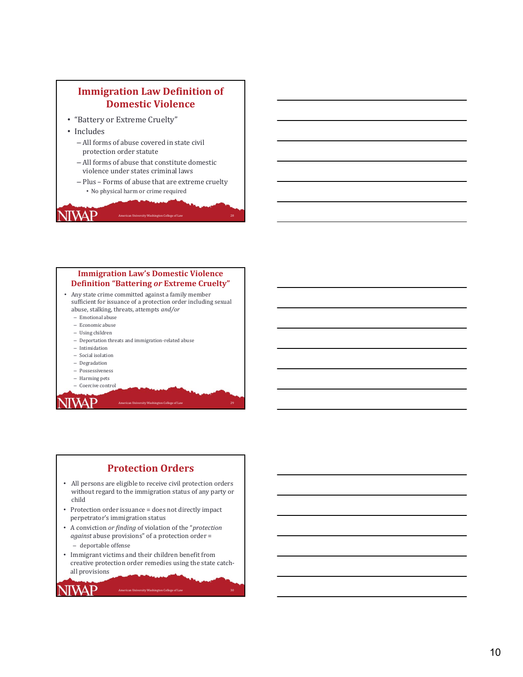

### **Immigration Law's Domestic Violence Definition "Battering** *or* **Extreme Cruelty"**

- Any state crime committed against a family member sufficient for issuance of a protection order including sexual abuse, stalking, threats, attempts *and/or*
	- $-$  Emotional abuse
	- $-$ Economic abuse
	- Using children
	- Deportation threats and immigration-related abuse
	- Intimidation
	- Social isolation
	- Degradation
	- Possessiveness
	- Harming pets
	- Coercive control

**WAP** 

JIWAP

# **Protection Orders**

.<br>The University Washington College of Law 2014

- All persons are eligible to receive civil protection orders without regard to the immigration status of any party or child
- Protection order issuance = does not directly impact perpetrator's immigration status
- A conviction *or finding* of violation of the "*protection against* abuse provisions" of a protection order = - deportable offense
- Immigrant victims and their children benefit from creative protection order remedies using the state catchall provisions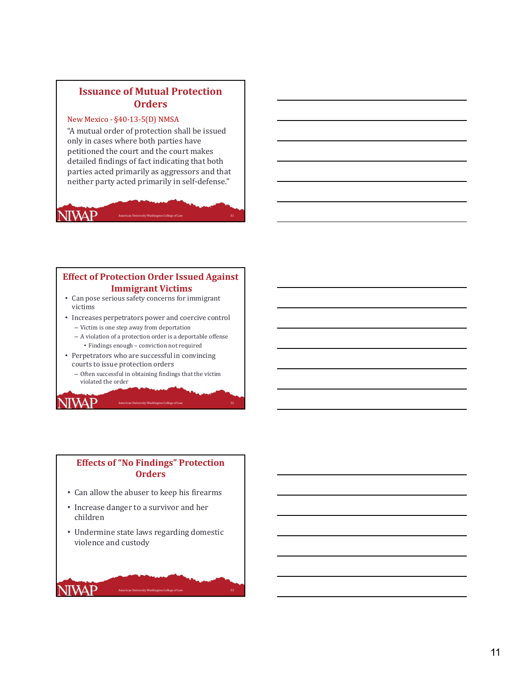# **Issuance of Mutual Protection Orders**

### New Mexico - §40-13-5(D) NMSA

"A mutual order of protection shall be issued only in cases where both parties have petitioned the court and the court makes detailed findings of fact indicating that both parties acted primarily as aggressors and that neither party acted primarily in self-defense."

American University Washington College of Law 31

# **NIVAP**

**NIVAP** 

**NIVAP** 

# **Effect of Protection Order Issued Against Immigrant Victims**

- Can pose serious safety concerns for immigrant victims
- Increases perpetrators power and coercive control
	- $-$  Victim is one step away from deportation
	- $-$  A violation of a protection order is a deportable offense • Findings enough – conviction not required
- Perpetrators who are successful in convincing courts to issue protection orders
	- Often successful in obtaining findings that the victim violated the order

**American University Washington College of Law** 

### **Effects of "No Findings" Protection Orders**

- Can allow the abuser to keep his firearms
- Increase danger to a survivor and her children
- Undermine state laws regarding domestic violence and custody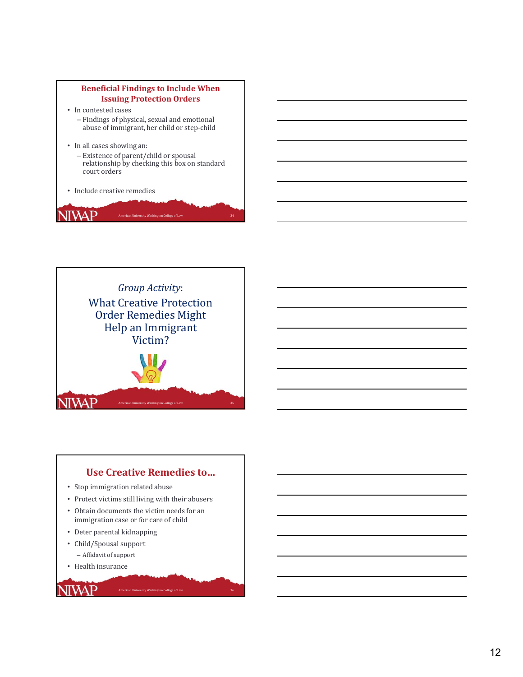



# **Use Creative Remedies to…**

.<br>Am College of Lav

- Stop immigration related abuse
- Protect victims still living with their abusers
- Obtain documents the victim needs for an immigration case or for care of child
- Deter parental kidnapping
- Child/Spousal support
	- Affidavit of support
- Health insurance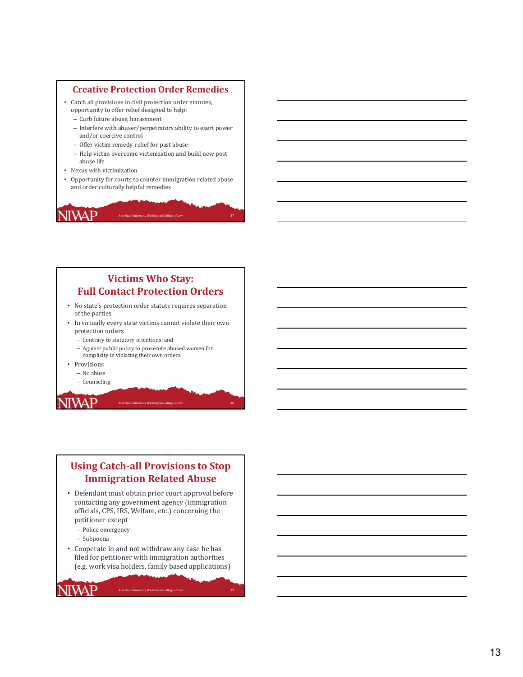### **Creative Protection Order Remedies**

- Catch all provisions in civil protection order statutes. opportunity to offer relief designed to help:
	- Curb future abuse, harassment
	- $-$  Interfere with abuser/perpetrators ability to exert power and/or coercive control
	- Offer victim remedy-relief for past abuse
	- Help victim overcome victimization and build new post abuse life
- Nexus with victimization

JIWAP

• Opportunity for courts to counter immigration related abuse and order culturally helpful remedies

American University Washington College of Law 37

# **Victims Who Stay: Full Contact Protection Orders**

- No state's protection order statute requires separation of the parties
- In virtually every state victims cannot violate their own protection orders
	- Contrary to statutory intentions; and
	- Against public policy to prosecute abused women for complicity in violating their own orders.
- Provisions
	- No abuse – Counseling
	-

**ITVAP** 

# **Using Catch ‐all Provisions to Stop Immigration Related Abuse**

American University Washington College of Law

- Defendant must obtain prior court approval before contacting any government agency (immigration officials, CPS, IRS, Welfare, etc.) concerning the petitioner except
	- Police emergency
	- Subpoena

**JIWAP** 

• Cooperate in and not withdraw any case he has filed for petitioner with immigration authorities (e.g. work visa holders, family based applications)

.<br>Am College of La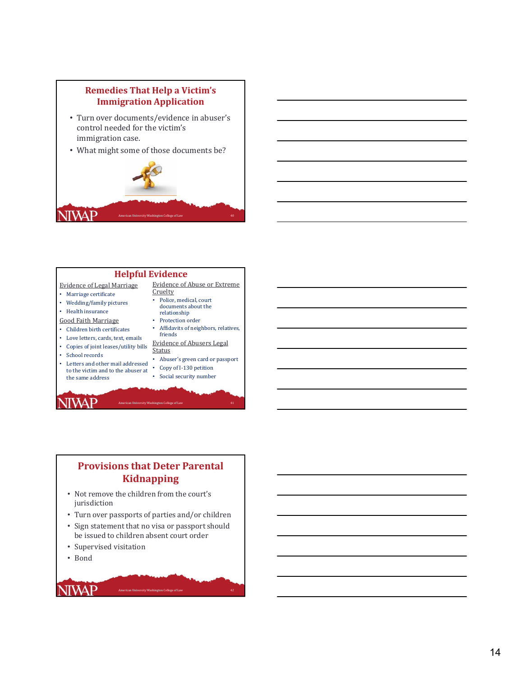# **Remedies That Help a Victim's Immigration Application**

- Turn over documents/evidence in abuser's control needed for the victim's immigration case.
- What might some of those documents be?





# **Provisions that Deter Parental Kidnapping**

- Not remove the children from the court's jurisdiction
- Turn over passports of parties and/or children
- Sign statement that no visa or passport should be issued to children absent court order

American University Washington College of Law 42

• Supervised visitation

• Bond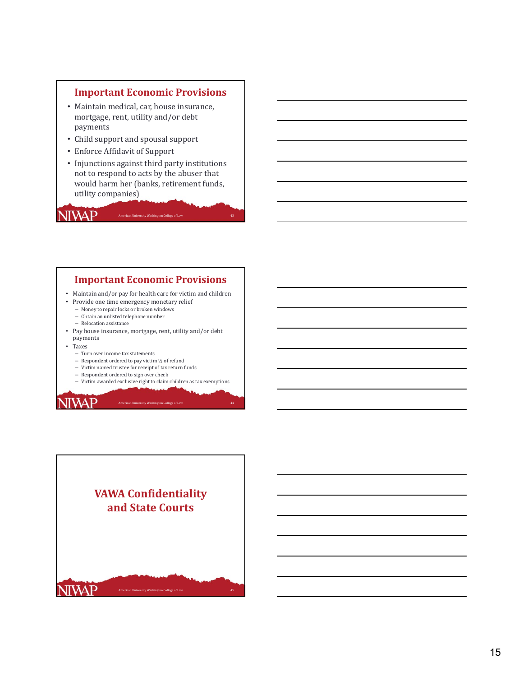# **Important Economic Provisions**

- Maintain medical, car, house insurance, mortgage, rent, utility and/or debt payments
- Child support and spousal support
- Enforce Affidavit of Support
- Injunctions against third party institutions not to respond to acts by the abuser that would harm her (banks, retirement funds, utility companies)

American University Washington College of Law 43

# **Important Economic Provisions**

- Maintain and/or pay for health care for victim and children
- Provide one time emergency monetary relief
	- Money to repair locks or broken windows  $-$  Obtain an unlisted telephone number
	- Relocation assistance
- Pay house insurance, mortgage, rent, utility and/or debt payments
- Taxes

**NIWAP** 

**JIVAP** 

- Turn over income tax statements
- Respondent ordered to pay victim  $\frac{1}{2}$  of refund
- Victim named trustee for receipt of tax return funds
- Respondent ordered to sign over check
- Victim awarded exclusive right to claim children as tax exemptions

american of the University Washington College of Law 44 and 200 and 200 and 200 and 200 and 200 and 200 and 20

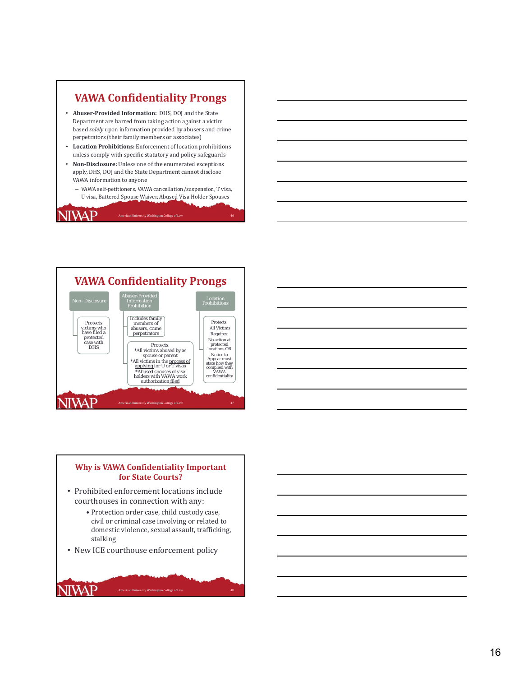# **VAWA Confidentiality Prongs**

- **Abuser ‐Provided Information:** DHS, DOJ and the State Department are barred from taking action against a victim based *solely* upon information provided by abusers and crime perpetrators (their family members or associates)
- Location Prohibitions: Enforcement of location prohibitions unless comply with specific statutory and policy safeguards
- Non-Disclosure: Unless one of the enumerated exceptions apply, DHS, DOJ and the State Department cannot disclose VAWA information to anyone
	- VAWA self‐petitioners, VAWA cancellation/suspension, T visa, U visa, Battered Spouse Waiver, Abused Visa Holder Spouses

American University Washington College of Law 46

# JIWAP



### **Why is VAWA Confidentiality Important for State Courts?**

- Prohibited enforcement locations include courthouses in connection with any:
	- Protection order case, child custody case, civil or criminal case involving or related to domestic violence, sexual assault, trafficking, stalking

American University Washington College of Law 48

• New ICE courthouse enforcement policy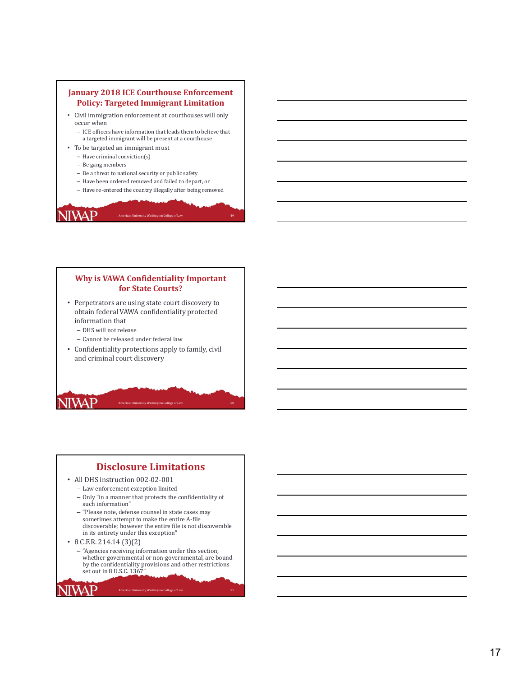### **January 2018 ICE Courthouse Enforcement Policy: Targeted Immigrant Limitation** • Civil immigration enforcement at courthouses will only occur when - ICE officers have information that leads them to believe that a targeted immigrant will be present at a courthouse • To be targeted an immigrant must  $-$  Have criminal conviction(s) - Be gang members  $-$  Be a threat to national security or public safety

- Have been ordered removed and failed to depart, or
- Have re-entered the country illegally after being removed

American University Washington College of Law 49

# **Why is VAWA Confidentiality Important for State Courts?**

- Perpetrators are using state court discovery to obtain federal VAWA confidentiality protected information that
	- DHS will not release

JIWAP

**NIVAP** 

- Cannot be released under federal law
- Confidentiality protections apply to family, civil and criminal court discovery

ersity Washington College of Law

# **Disclosure Limitations**

- All DHS instruction 002-02-001
	- Law enforcement exception limited
	- Only "in a manner that protects the confidentiality of such information"
	- "Please note, defense counsel in state cases may sometimes attempt to make the entire A-file discoverable; however the entire file is not discoverable in its entirety under this exception"
- $\cdot$  8 C.F.R. 214.14 (3)(2)

**NIVAP** 

– "Agencies receiving information under this section, whether governmental or non-governmental, are bound by the confidentiality provisions and other restrictions<br>set out in 8 U.S.C. 1367"

.<br>Animaton College of Lay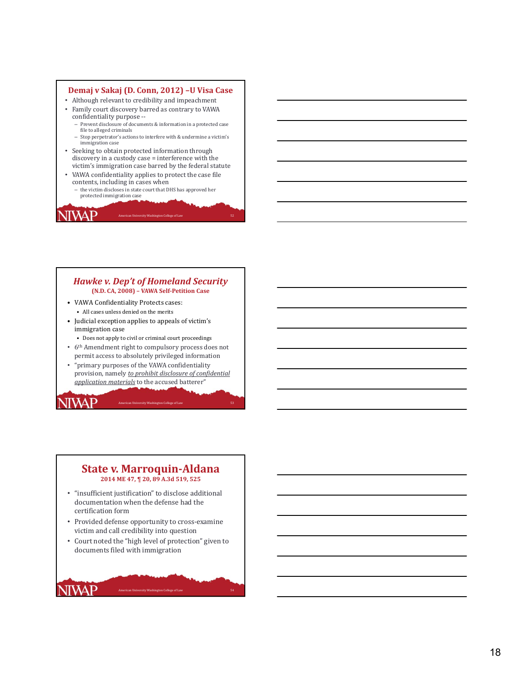### **Demaj v Sakaj (D. Conn, 2012) –U Visa Case**

- Although relevant to credibility and impeachment
- Family court discovery barred as contrary to VAWA
	- confidentiality purpose --

JIWAP

**NIVAP** 

**NIVAP** 

- Prevent disclosure of documents & information in a protected case file to alleged criminals
- Stop perpetrator's actions to interfere with  $\&$  undermine a victim's immigration case
- Seeking to obtain protected information through discovery in a custody case = interference with the victim's immigration case barred by the federal statute
- VAWA confidentiality applies to protect the case file contents, including in cases when
	- the victim discloses in state court that DHS has approved her protected immigration case

American University Washington College of Law 52 (1996) 1996 1997 1998 1998 1999 1998 1999 1999 199

### *Hawke v. Dep't of Homeland Security* **(N.D. CA, 2008) – VAWA Self‐Petition Case**

- VAWA Confidentiality Protects cases: • All cases unless denied on the merits
- Judicial exception applies to appeals of victim's immigration case
	- Does not apply to civil or criminal court proceedings
- 6<sup>th</sup> Amendment right to compulsory process does not permit access to absolutely privileged information
- "primary purposes of the VAWA confidentiality provision, namely *to prohibit disclosure of confidential application materials* to the accused batterer"

American University Washington College of Law

### **State v. Marroquin ‐Aldana 2014 ME 47, ¶ 20, 89 A.3d 519, 525**

- "insufficient justification" to disclose additional documentation when the defense had the certification form
- Provided defense opportunity to cross-examine victim and call credibility into question
- Court noted the "high level of protection" given to documents filed with immigration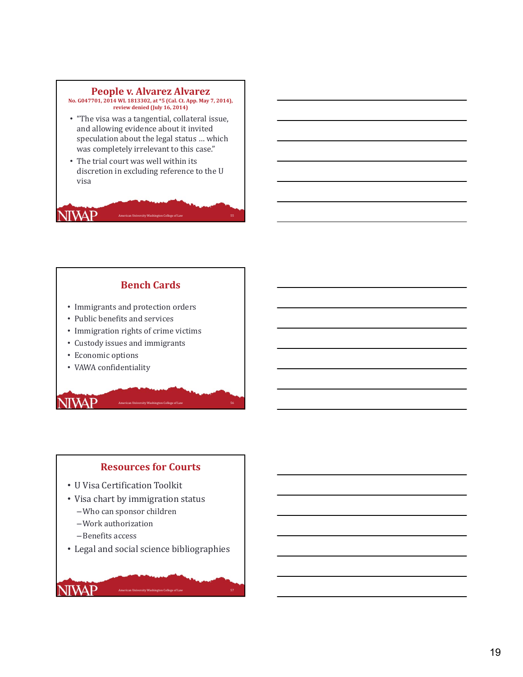### **People v. Alvarez Alvarez**

**No. G047701, 2014 WL 1813302, at \*5 (Cal. Ct. App. May 7, 2014), review denied (July 16, 2014)**

- "The visa was a tangential, collateral issue, and allowing evidence about it invited speculation about the legal status ... which was completely irrelevant to this case."
- The trial court was well within its discretion in excluding reference to the U visa

American University Washington College of Law 55 and 10 million 10 million 10 million 10 million 10 million 10

# **Bench Cards**

- Immigrants and protection orders
- Public benefits and services
- Immigration rights of crime victims
- Custody issues and immigrants
- Economic options

**NIVAP** 

**NIVAP** 

**NIVAP** 

• VAWA confidentiality

# **Resources for Courts**

**American University Washington College of Law** 

- U Visa Certification Toolkit
- Visa chart by immigration status
	- –Who can sponsor children
	- –Work authorization
	- –Benefits access
- Legal and social science bibliographies